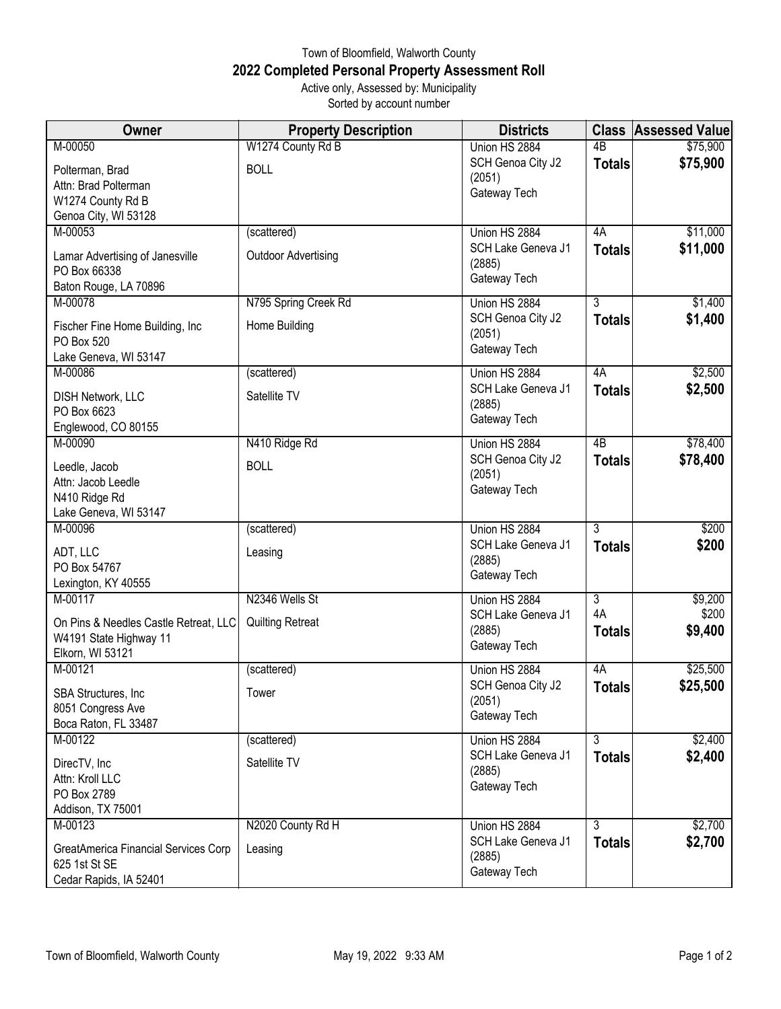## Town of Bloomfield, Walworth County **2022 Completed Personal Property Assessment Roll** Active only, Assessed by: Municipality

Sorted by account number

| Owner                                 | <b>Property Description</b> | <b>Districts</b>             |                      | <b>Class Assessed Value</b> |
|---------------------------------------|-----------------------------|------------------------------|----------------------|-----------------------------|
| M-00050                               | W1274 County Rd B           | Union HS 2884                | 4 <sub>B</sub>       | \$75,900                    |
| Polterman, Brad                       | <b>BOLL</b>                 | SCH Genoa City J2            | <b>Totals</b>        | \$75,900                    |
| Attn: Brad Polterman                  |                             | (2051)                       |                      |                             |
| W1274 County Rd B                     |                             | Gateway Tech                 |                      |                             |
| Genoa City, WI 53128                  |                             |                              |                      |                             |
| M-00053                               | (scattered)                 | Union HS 2884                | 4A                   | \$11,000                    |
| Lamar Advertising of Janesville       | <b>Outdoor Advertising</b>  | SCH Lake Geneva J1           | <b>Totals</b>        | \$11,000                    |
| PO Box 66338                          |                             | (2885)                       |                      |                             |
| Baton Rouge, LA 70896                 |                             | Gateway Tech                 |                      |                             |
| M-00078                               | N795 Spring Creek Rd        | Union HS 2884                | $\overline{3}$       | \$1,400                     |
| Fischer Fine Home Building, Inc       | Home Building               | SCH Genoa City J2            | <b>Totals</b>        | \$1,400                     |
| PO Box 520                            |                             | (2051)                       |                      |                             |
| Lake Geneva, WI 53147                 |                             | Gateway Tech                 |                      |                             |
| M-00086                               | (scattered)                 | Union HS 2884                | 4A                   | \$2,500                     |
|                                       |                             | SCH Lake Geneva J1           | <b>Totals</b>        | \$2,500                     |
| DISH Network, LLC<br>PO Box 6623      | Satellite TV                | (2885)                       |                      |                             |
| Englewood, CO 80155                   |                             | Gateway Tech                 |                      |                             |
| M-00090                               | N410 Ridge Rd               | Union HS 2884                | 4B                   | \$78,400                    |
|                                       |                             | SCH Genoa City J2            | <b>Totals</b>        | \$78,400                    |
| Leedle, Jacob                         | <b>BOLL</b>                 | (2051)                       |                      |                             |
| Attn: Jacob Leedle                    |                             | Gateway Tech                 |                      |                             |
| N410 Ridge Rd                         |                             |                              |                      |                             |
| Lake Geneva, WI 53147<br>M-00096      | (scattered)                 | Union HS 2884                | 3                    | \$200                       |
|                                       |                             | SCH Lake Geneva J1           | <b>Totals</b>        | \$200                       |
| ADT, LLC                              | Leasing                     | (2885)                       |                      |                             |
| PO Box 54767                          |                             | Gateway Tech                 |                      |                             |
| Lexington, KY 40555                   |                             |                              |                      |                             |
| M-00117                               | N2346 Wells St              | Union HS 2884                | $\overline{3}$<br>4A | \$9,200<br>\$200            |
| On Pins & Needles Castle Retreat, LLC | <b>Quilting Retreat</b>     | SCH Lake Geneva J1<br>(2885) | <b>Totals</b>        | \$9,400                     |
| W4191 State Highway 11                |                             | Gateway Tech                 |                      |                             |
| Elkorn, WI 53121                      |                             |                              |                      |                             |
| M-00121                               | (scattered)                 | Union HS 2884                | 4A                   | \$25,500                    |
| SBA Structures, Inc                   | Tower                       | SCH Genoa City J2            | <b>Totals</b>        | \$25,500                    |
| 8051 Congress Ave                     |                             | (2051)<br>Gateway Tech       |                      |                             |
| Boca Raton, FL 33487                  |                             |                              |                      |                             |
| M-00122                               | (scattered)                 | Union HS 2884                | $\overline{3}$       | \$2,400                     |
| DirecTV, Inc                          | Satellite TV                | SCH Lake Geneva J1           | <b>Totals</b>        | \$2,400                     |
| Attn: Kroll LLC                       |                             | (2885)                       |                      |                             |
| PO Box 2789                           |                             | Gateway Tech                 |                      |                             |
| Addison, TX 75001                     |                             |                              |                      |                             |
| M-00123                               | N2020 County Rd H           | Union HS 2884                | $\overline{3}$       | \$2,700                     |
| GreatAmerica Financial Services Corp  | Leasing                     | SCH Lake Geneva J1           | <b>Totals</b>        | \$2,700                     |
| 625 1st St SE                         |                             | (2885)                       |                      |                             |
| Cedar Rapids, IA 52401                |                             | Gateway Tech                 |                      |                             |